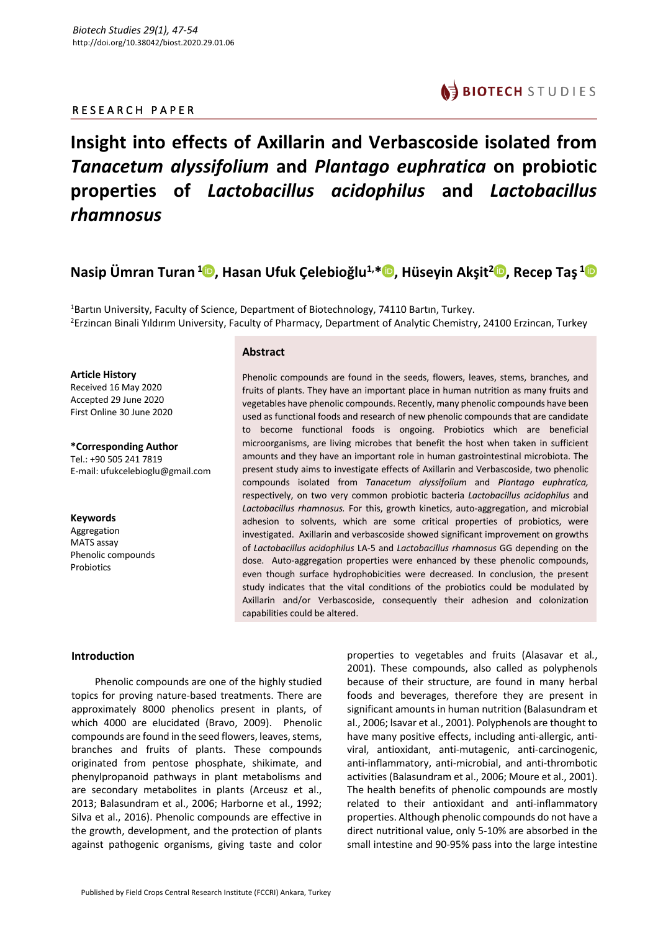## R E S E A R C H P A P E R



# **Insight into effects of Axillarin and Verbascoside isolated from**  *Tanacetum alyssifolium* **and** *Plantago euphratica* **on probiotic properties of** *Lactobacillus acidophilus* **and** *Lactobacillus rhamnosus*

**Nasip Ümran Turan <sup>1</sup> , Hasan Ufuk Çelebioğlu1, \* , Hüseyin Akşit2 , Recep Taş <sup>1</sup>**

<sup>1</sup>Bartın University, Faculty of Science, Department of Biotechnology, 74110 Bartın, Turkey. <sup>2</sup>Erzincan Binali Yıldırım University, Faculty of Pharmacy, Department of Analytic Chemistry, 24100 Erzincan, Turkey

## **Article History**

Received 16 May 2020 Accepted 29 June 2020 First Online 30 June 2020

**\*Corresponding Author** Tel.: +90 505 241 7819 E-mail: ufukcelebioglu@gmail.com

**Keywords** Aggregation MATS assay Phenolic compounds Probiotics

## **Abstract**

Phenolic compounds are found in the seeds, flowers, leaves, stems, branches, and fruits of plants. They have an important place in human nutrition as many fruits and vegetables have phenolic compounds. Recently, many phenolic compounds have been used as functional foods and research of new phenolic compounds that are candidate to become functional foods is ongoing. Probiotics which are beneficial microorganisms, are living microbes that benefit the host when taken in sufficient amounts and they have an important role in human gastrointestinal microbiota. The present study aims to investigate effects of Axillarin and Verbascoside, two phenolic compounds isolated from *Tanacetum alyssifolium* and *Plantago euphratica,*  respectively, on two very common probiotic bacteria *Lactobacillus acidophilus* and *Lactobacillus rhamnosus.* For this, growth kinetics, auto-aggregation, and microbial adhesion to solvents, which are some critical properties of probiotics, were investigated. Axillarin and verbascoside showed significant improvement on growths of *Lactobacillus acidophilus* LA-5 and *Lactobacillus rhamnosus* GG depending on the dose. Auto-aggregation properties were enhanced by these phenolic compounds, even though surface hydrophobicities were decreased. In conclusion, the present study indicates that the vital conditions of the probiotics could be modulated by Axillarin and/or Verbascoside, consequently their adhesion and colonization capabilities could be altered.

## **Introduction**

Phenolic compounds are one of the highly studied topics for proving nature-based treatments. There are approximately 8000 phenolics present in plants, of which 4000 are elucidated (Bravo, 2009). Phenolic compounds are found in the seed flowers, leaves, stems, branches and fruits of plants. These compounds originated from pentose phosphate, shikimate, and phenylpropanoid pathways in plant metabolisms and are secondary metabolites in plants (Arceusz et al., 2013; Balasundram et al., 2006; Harborne et al., 1992; Silva et al., 2016). Phenolic compounds are effective in the growth, development, and the protection of plants against pathogenic organisms, giving taste and color properties to vegetables and fruits (Alasavar et al*.*, 2001). These compounds, also called as polyphenols because of their structure, are found in many herbal foods and beverages, therefore they are present in significant amounts in human nutrition (Balasundram et al., 2006; lsavar et al., 2001). Polyphenols are thought to have many positive effects, including anti-allergic, antiviral, antioxidant, anti-mutagenic, anti-carcinogenic, anti-inflammatory, anti-microbial, and anti-thrombotic activities (Balasundram et al., 2006; Moure et al., 2001). The health benefits of phenolic compounds are mostly related to their antioxidant and anti-inflammatory properties. Although phenolic compounds do not have a direct nutritional value, only 5-10% are absorbed in the small intestine and 90-95% pass into the large intestine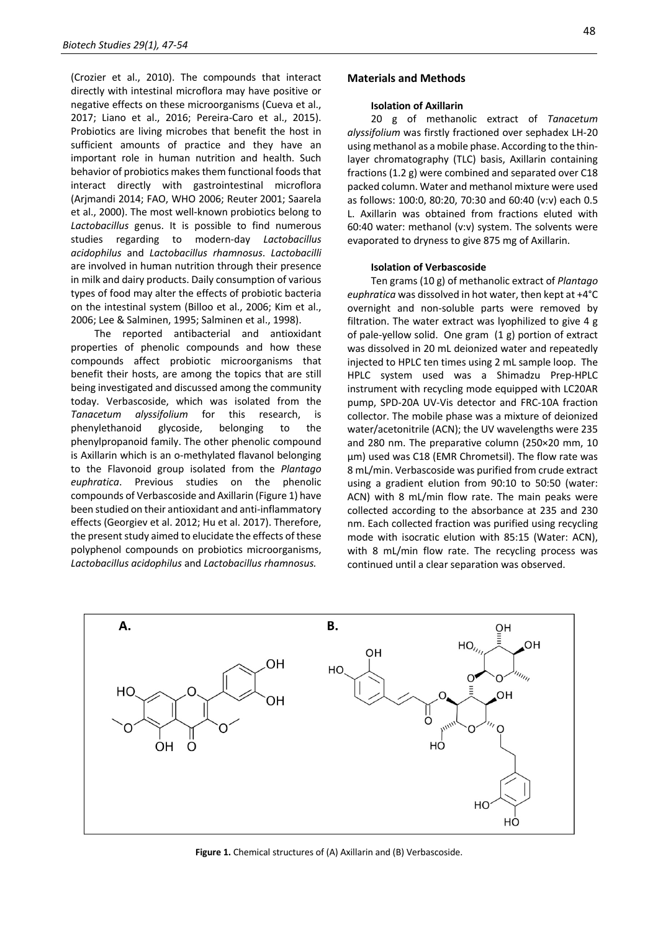(Crozier et al., 2010). The compounds that interact directly with intestinal microflora may have positive or negative effects on these microorganisms (Cueva et al., 2017; Liano et al., 2016; Pereira-Caro et al., 2015). Probiotics are living microbes that benefit the host in sufficient amounts of practice and they have an important role in human nutrition and health. Such behavior of probiotics makes them functional foods that interact directly with gastrointestinal microflora (Arjmandi 2014; FAO, WHO 2006; Reuter 2001; Saarela et al., 2000). The most well-known probiotics belong to *Lactobacillus* genus. It is possible to find numerous studies regarding to modern-day *Lactobacillus acidophilus* and *Lactobacillus rhamnosus*. *Lactobacilli* are involved in human nutrition through their presence in milk and dairy products. Daily consumption of various types of food may alter the effects of probiotic bacteria on the intestinal system (Billoo et al., 2006; Kim et al., 2006; Lee & Salminen, 1995; Salminen et al., 1998).

The reported antibacterial and antioxidant properties of phenolic compounds and how these compounds affect probiotic microorganisms that benefit their hosts, are among the topics that are still being investigated and discussed among the community today. Verbascoside, which was isolated from the *Tanacetum alyssifolium* for this research, is phenylethanoid glycoside, belonging to the phenylpropanoid family. The other phenolic compound is Axillarin which is an o-methylated flavanol belonging to the Flavonoid group isolated from the *Plantago euphratica*. Previous studies on the phenolic compounds of Verbascoside and Axillarin (Figure 1) have been studied on their antioxidant and anti-inflammatory effects (Georgiev et al. 2012; Hu et al. 2017). Therefore, the present study aimed to elucidate the effects of these polyphenol compounds on probiotics microorganisms, *Lactobacillus acidophilus* and *Lactobacillus rhamnosus.*

#### **Isolation of Axillarin**

20 g of methanolic extract of *Tanacetum alyssifolium* was firstly fractioned over sephadex LH-20 using methanol as a mobile phase. According to the thinlayer chromatography (TLC) basis, Axillarin containing fractions (1.2 g) were combined and separated over C18 packed column. Water and methanol mixture were used as follows: 100:0, 80:20, 70:30 and 60:40 (v:v) each 0.5 L. Axillarin was obtained from fractions eluted with 60:40 water: methanol (v:v) system. The solvents were evaporated to dryness to give 875 mg of Axillarin.

#### **Isolation of Verbascoside**

Ten grams (10 g) of methanolic extract of *Plantago euphratica* was dissolved in hot water, then kept at +4°C overnight and non-soluble parts were removed by filtration. The water extract was lyophilized to give 4 g of pale-yellow solid. One gram (1 g) portion of extract was dissolved in 20 mL deionized water and repeatedly injected to HPLC ten times using 2 mL sample loop. The HPLC system used was a Shimadzu Prep-HPLC instrument with recycling mode equipped with LC20AR pump, SPD-20A UV-Vis detector and FRC-10A fraction collector. The mobile phase was a mixture of deionized water/acetonitrile (ACN); the UV wavelengths were 235 and 280 nm. The preparative column (250×20 mm, 10 µm) used was C18 (EMR Chrometsil). The flow rate was 8 mL/min. Verbascoside was purified from crude extract using a gradient elution from 90:10 to 50:50 (water: ACN) with 8 mL/min flow rate. The main peaks were collected according to the absorbance at 235 and 230 nm. Each collected fraction was purified using recycling mode with isocratic elution with 85:15 (Water: ACN), with 8 mL/min flow rate. The recycling process was continued until a clear separation was observed.



**Figure 1.** Chemical structures of (A) Axillarin and (B) Verbascoside.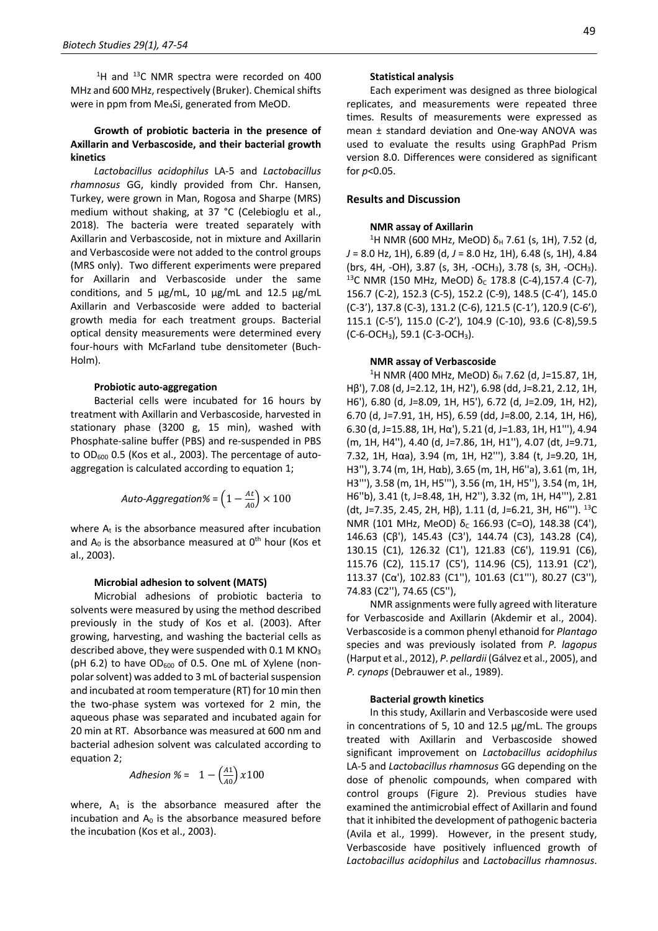$1$ <sup>1</sup>H and  $13$ C NMR spectra were recorded on 400 MHz and 600 MHz, respectively (Bruker). Chemical shifts were in ppm from Me4Si, generated from MeOD.

## **Growth of probiotic bacteria in the presence of Axillarin and Verbascoside, and their bacterial growth kinetics**

*Lactobacillus acidophilus* LA-5 and *Lactobacillus rhamnosus* GG, kindly provided from Chr. Hansen, Turkey, were grown in Man, Rogosa and Sharpe (MRS) medium without shaking, at 37 °C (Celebioglu et al., 2018). The bacteria were treated separately with Axillarin and Verbascoside, not in mixture and Axillarin and Verbascoside were not added to the control groups (MRS only). Two different experiments were prepared for Axillarin and Verbascoside under the same conditions, and 5  $\mu$ g/mL, 10  $\mu$ g/mL and 12.5  $\mu$ g/mL Axillarin and Verbascoside were added to bacterial growth media for each treatment groups. Bacterial optical density measurements were determined every four-hours with McFarland tube densitometer (Buch-Holm).

#### **Probiotic auto-aggregation**

Bacterial cells were incubated for 16 hours by treatment with Axillarin and Verbascoside, harvested in stationary phase (3200 g, 15 min), washed with Phosphate-saline buffer (PBS) and re-suspended in PBS to OD<sub>600</sub> 0.5 (Kos et al., 2003). The percentage of autoaggregation is calculated according to equation 1;

$$
Auto-Aggregation\% = \left(1 - \frac{At}{A0}\right) \times 100
$$

where  $A_t$  is the absorbance measured after incubation and  $A_0$  is the absorbance measured at  $0<sup>th</sup>$  hour (Kos et al., 2003).

#### **Microbial adhesion to solvent (MATS)**

Microbial adhesions of probiotic bacteria to solvents were measured by using the method described previously in the study of Kos et al. (2003). After growing, harvesting, and washing the bacterial cells as described above, they were suspended with  $0.1$  M KNO<sub>3</sub> (pH 6.2) to have  $OD_{600}$  of 0.5. One mL of Xylene (nonpolar solvent) was added to 3 mL of bacterial suspension and incubated at room temperature (RT) for 10 min then the two-phase system was vortexed for 2 min, the aqueous phase was separated and incubated again for 20 min at RT. Absorbance was measured at 600 nm and bacterial adhesion solvent was calculated according to equation 2;

$$
Adhesion \ \% = \ \ 1 - \left(\frac{A1}{A0}\right) \ x 100
$$

where,  $A_1$  is the absorbance measured after the incubation and  $A_0$  is the absorbance measured before the incubation (Kos et al., 2003).

#### **Statistical analysis**

Each experiment was designed as three biological replicates, and measurements were repeated three times. Results of measurements were expressed as mean ± standard deviation and One-way ANOVA was used to evaluate the results using GraphPad Prism version 8.0. Differences were considered as significant for *p*<0.05.

## **Results and Discussion**

#### **NMR assay of Axillarin**

<sup>1</sup>H NMR (600 MHz, MeOD) δ<sub>H</sub> 7.61 (s, 1H), 7.52 (d, *J* = 8.0 Hz, 1H), 6.89 (d, *J* = 8.0 Hz, 1H), 6.48 (s, 1H), 4.84 (brs, 4H, -OH), 3.87 (s, 3H, -OCH<sub>3</sub>), 3.78 (s, 3H, -OCH<sub>3</sub>).<br><sup>13</sup>C NMR (150 MHz, MeOD) δ<sub>C</sub> 178.8 (C-4),157.4 (C-7), 156.7 (C-2), 152.3 (C-5), 152.2 (C-9), 148.5 (C-4'), 145.0 (C-3'), 137.8 (C-3), 131.2 (C-6), 121.5 (C-1'), 120.9 (C-6'), 115.1 (C-5'), 115.0 (C-2'), 104.9 (C-10), 93.6 (C-8),59.5 (C-6-OCH3), 59.1 (C-3-OCH3).

#### **NMR assay of Verbascoside**

<sup>1</sup>H NMR (400 MHz, MeOD) δ<sub>H</sub> 7.62 (d, J=15.87, 1H, Hβ'), 7.08 (d, J=2.12, 1H, H2'), 6.98 (dd, J=8.21, 2.12, 1H, H6'), 6.80 (d, J=8.09, 1H, H5'), 6.72 (d, J=2.09, 1H, H2), 6.70 (d, J=7.91, 1H, H5), 6.59 (dd, J=8.00, 2.14, 1H, H6), 6.30 (d, J=15.88, 1H, Hα'), 5.21 (d, J=1.83, 1H, H1'''), 4.94 (m, 1H, H4''), 4.40 (d, J=7.86, 1H, H1''), 4.07 (dt, J=9.71, 7.32, 1H, Hαa), 3.94 (m, 1H, H2'''), 3.84 (t, J=9.20, 1H, H3''), 3.74 (m, 1H, Hαb), 3.65 (m, 1H, H6''a), 3.61 (m, 1H, H3'''), 3.58 (m, 1H, H5'''), 3.56 (m, 1H, H5''), 3.54 (m, 1H, H6''b), 3.41 (t, J=8.48, 1H, H2''), 3.32 (m, 1H, H4'''), 2.81 (dt, J=7.35, 2.45, 2H, Hβ), 1.11 (d, J=6.21, 3H, H6'''). 13C NMR (101 MHz, MeOD)  $δ<sub>c</sub>$  166.93 (C=O), 148.38 (C4'), 146.63 (Cβ'), 145.43 (C3'), 144.74 (C3), 143.28 (C4), 130.15 (C1), 126.32 (C1'), 121.83 (C6'), 119.91 (C6), 115.76 (C2), 115.17 (C5'), 114.96 (C5), 113.91 (C2'), 113.37 (Cα'), 102.83 (C1''), 101.63 (C1'''), 80.27 (C3''), 74.83 (C2''), 74.65 (C5''),

NMR assignments were fully agreed with literature for Verbascoside and Axillarin (Akdemir et al., 2004). Verbascoside is a common phenyl ethanoid for *Plantago* species and was previously isolated from *P. lagopus* (Harput et al., 2012), *P*. *pellardii* (Gálvez et al., 2005), and *P. cynops* (Debrauwer et al., 1989).

#### **Bacterial growth kinetics**

In this study, Axillarin and Verbascoside were used in concentrations of 5, 10 and 12.5 µg/mL. The groups treated with Axillarin and Verbascoside showed significant improvement on *Lactobacillus acidophilus* LA-5 and *Lactobacillus rhamnosus* GG depending on the dose of phenolic compounds, when compared with control groups (Figure 2). Previous studies have examined the antimicrobial effect of Axillarin and found that it inhibited the development of pathogenic bacteria (Avila et al., 1999). However, in the present study, Verbascoside have positively influenced growth of *Lactobacillus acidophilus* and *Lactobacillus rhamnosus*.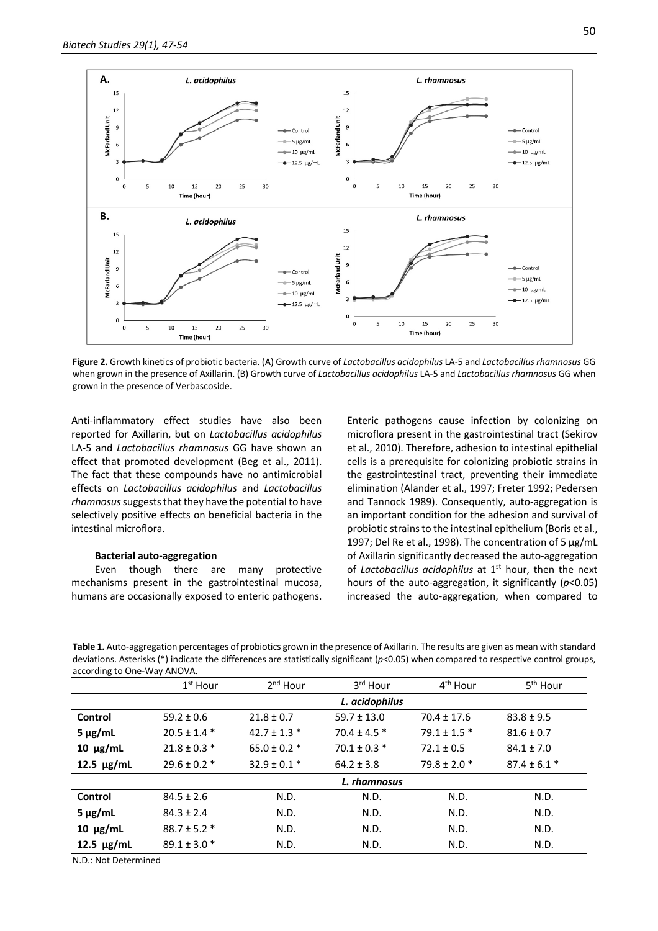

**Figure 2.** Growth kinetics of probiotic bacteria. (A) Growth curve of *Lactobacillus acidophilus* LA-5 and *Lactobacillus rhamnosus* GG when grown in the presence of Axillarin. (B) Growth curve of *Lactobacillus acidophilus* LA-5 and *Lactobacillus rhamnosus* GG when grown in the presence of Verbascoside.

Anti-inflammatory effect studies have also been reported for Axillarin, but on *Lactobacillus acidophilus* LA-5 and *Lactobacillus rhamnosus* GG have shown an effect that promoted development (Beg et al., 2011). The fact that these compounds have no antimicrobial effects on *Lactobacillus acidophilus* and *Lactobacillus rhamnosus*suggests that they have the potential to have selectively positive effects on beneficial bacteria in the intestinal microflora.

## **Bacterial auto-aggregation**

Even though there are many protective mechanisms present in the gastrointestinal mucosa, humans are occasionally exposed to enteric pathogens. Enteric pathogens cause infection by colonizing on microflora present in the gastrointestinal tract (Sekirov et al., 2010). Therefore, adhesion to intestinal epithelial cells is a prerequisite for colonizing probiotic strains in the gastrointestinal tract, preventing their immediate elimination (Alander et al., 1997; Freter 1992; Pedersen and Tannock 1989). Consequently, auto-aggregation is an important condition for the adhesion and survival of probiotic strains to the intestinal epithelium (Boris et al., 1997; Del Re et al., 1998). The concentration of 5 µg/mL of Axillarin significantly decreased the auto-aggregation of *Lactobacillus acidophilus* at 1<sup>st</sup> hour, then the next hours of the auto-aggregation, it significantly (*p*<0.05) increased the auto-aggregation, when compared to

**Table 1.** Auto-aggregation percentages of probiotics grown in the presence of Axillarin. The results are given as mean with standard deviations. Asterisks (\*) indicate the differences are statistically significant (*p*<0.05) when compared to respective control groups, according to One-Way ANOVA.

|                 | $1st$ Hour       | $2nd$ Hour       | 3rd Hour         | 4 <sup>th</sup> Hour | 5 <sup>th</sup> Hour |  |  |
|-----------------|------------------|------------------|------------------|----------------------|----------------------|--|--|
|                 | L. acidophilus   |                  |                  |                      |                      |  |  |
| Control         | $59.2 \pm 0.6$   | $21.8 \pm 0.7$   | $59.7 \pm 13.0$  | $70.4 \pm 17.6$      | $83.8 \pm 9.5$       |  |  |
| $5 \mu g/mL$    | $20.5 \pm 1.4$ * | $42.7 \pm 1.3$ * | $70.4 \pm 4.5$ * | $79.1 \pm 1.5$ *     | $81.6 \pm 0.7$       |  |  |
| $10 \mu g/mL$   | $21.8 \pm 0.3$ * | $65.0 \pm 0.2$ * | $70.1 \pm 0.3$ * | $72.1 \pm 0.5$       | $84.1 \pm 7.0$       |  |  |
| 12.5 $\mu$ g/mL | $29.6 \pm 0.2$ * | $32.9 \pm 0.1$ * | $64.2 \pm 3.8$   | $79.8 \pm 2.0$ *     | $87.4 \pm 6.1$ *     |  |  |
|                 | L. rhamnosus     |                  |                  |                      |                      |  |  |
| Control         | $84.5 \pm 2.6$   | N.D.             | N.D.             | N.D.                 | N.D.                 |  |  |
| $5 \mu g/mL$    | $84.3 \pm 2.4$   | N.D.             | N.D.             | N.D.                 | N.D.                 |  |  |
| $10 \mu g/mL$   | $88.7 \pm 5.2$ * | N.D.             | N.D.             | N.D.                 | N.D.                 |  |  |
| 12.5 $\mu$ g/mL | $89.1 \pm 3.0$ * | N.D.             | N.D.             | N.D.                 | N.D.                 |  |  |

N.D.: Not Determined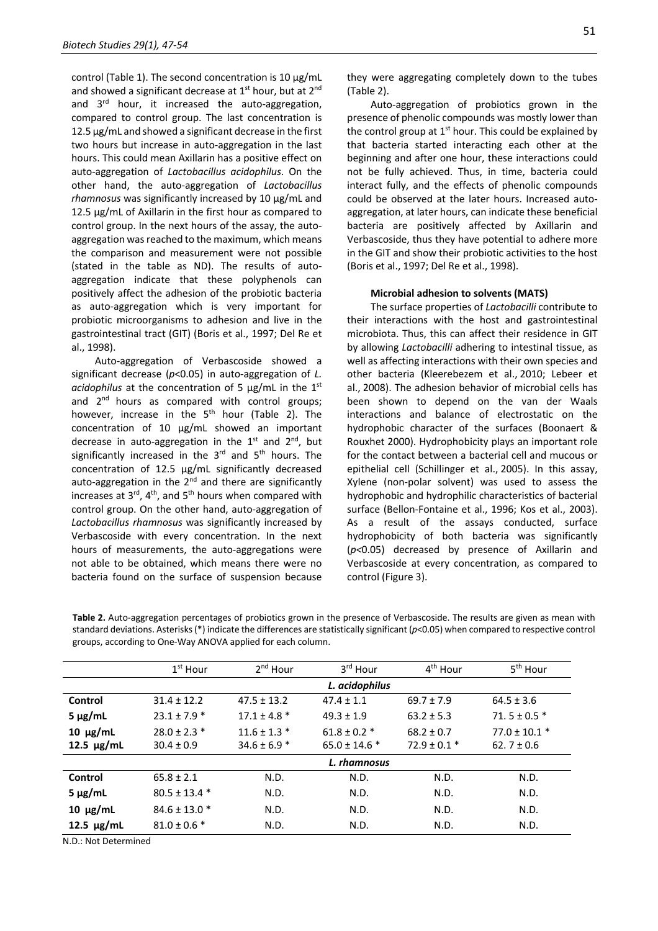control (Table 1). The second concentration is 10 µg/mL and showed a significant decrease at  $1<sup>st</sup>$  hour, but at  $2<sup>nd</sup>$ and 3rd hour, it increased the auto-aggregation, compared to control group. The last concentration is 12.5 µg/mL and showed a significant decrease in the first two hours but increase in auto-aggregation in the last hours. This could mean Axillarin has a positive effect on auto-aggregation of *Lactobacillus acidophilus*. On the other hand, the auto-aggregation of *Lactobacillus rhamnosus* was significantly increased by 10 µg/mL and 12.5 µg/mL of Axillarin in the first hour as compared to control group. In the next hours of the assay, the autoaggregation was reached to the maximum, which means the comparison and measurement were not possible (stated in the table as ND). The results of autoaggregation indicate that these polyphenols can positively affect the adhesion of the probiotic bacteria as auto-aggregation which is very important for probiotic microorganisms to adhesion and live in the gastrointestinal tract (GIT) (Boris et al., 1997; Del Re et al., 1998).

Auto-aggregation of Verbascoside showed a significant decrease (*p*<0.05) in auto-aggregation of *L. acidophilus* at the concentration of 5 µg/mL in the 1<sup>st</sup> and 2<sup>nd</sup> hours as compared with control groups; however, increase in the  $5<sup>th</sup>$  hour (Table 2). The concentration of 10 µg/mL showed an important decrease in auto-aggregation in the  $1<sup>st</sup>$  and  $2<sup>nd</sup>$ , but significantly increased in the  $3<sup>rd</sup>$  and  $5<sup>th</sup>$  hours. The concentration of 12.5 µg/mL significantly decreased auto-aggregation in the 2<sup>nd</sup> and there are significantly increases at  $3<sup>rd</sup>$ ,  $4<sup>th</sup>$ , and  $5<sup>th</sup>$  hours when compared with control group. On the other hand, auto-aggregation of *Lactobacillus rhamnosus* was significantly increased by Verbascoside with every concentration. In the next hours of measurements, the auto-aggregations were not able to be obtained, which means there were no bacteria found on the surface of suspension because

they were aggregating completely down to the tubes (Table 2).

Auto-aggregation of probiotics grown in the presence of phenolic compounds was mostly lower than the control group at  $1<sup>st</sup>$  hour. This could be explained by that bacteria started interacting each other at the beginning and after one hour, these interactions could not be fully achieved. Thus, in time, bacteria could interact fully, and the effects of phenolic compounds could be observed at the later hours. Increased autoaggregation, at later hours, can indicate these beneficial bacteria are positively affected by Axillarin and Verbascoside, thus they have potential to adhere more in the GIT and show their probiotic activities to the host (Boris et al., 1997; Del Re et al., 1998).

#### **Microbial adhesion to solvents (MATS)**

The surface properties of *Lactobacilli* contribute to their interactions with the host and gastrointestinal microbiota. Thus, this can affect their residence in GIT by allowing *Lactobacilli* adhering to intestinal tissue, as well as affecting interactions with their own species and other bacteria (Kleerebezem et al., 2010; Lebeer et al., 2008). The adhesion behavior of microbial cells has been shown to depend on the van der Waals interactions and balance of electrostatic on the hydrophobic character of the surfaces (Boonaert & Rouxhet 2000). Hydrophobicity plays an important role for the contact between a bacterial cell and mucous or epithelial cell (Schillinger et al., 2005). In this assay, Xylene (non-polar solvent) was used to assess the hydrophobic and hydrophilic characteristics of bacterial surface (Bellon-Fontaine et al., 1996; Kos et al., 2003). As a result of the assays conducted, surface hydrophobicity of both bacteria was significantly (*p<*0.05) decreased by presence of Axillarin and Verbascoside at every concentration, as compared to control (Figure 3).

**Table 2.** Auto-aggregation percentages of probiotics grown in the presence of Verbascoside. The results are given as mean with standard deviations. Asterisks (\*) indicate the differences are statistically significant (*p*<0.05) when compared to respective control groups, according to One-Way ANOVA applied for each column.

|                 | $1st$ Hour        | 2 <sup>nd</sup> Hour | 3rd Hour          | 4 <sup>th</sup> Hour | 5 <sup>th</sup> Hour |  |  |
|-----------------|-------------------|----------------------|-------------------|----------------------|----------------------|--|--|
|                 | L. acidophilus    |                      |                   |                      |                      |  |  |
| Control         | $31.4 \pm 12.2$   | $47.5 \pm 13.2$      | $47.4 \pm 1.1$    | $69.7 \pm 7.9$       | $64.5 \pm 3.6$       |  |  |
| $5 \mu g/mL$    | $23.1 \pm 7.9$ *  | $17.1 \pm 4.8$ *     | $49.3 \pm 1.9$    | $63.2 \pm 5.3$       | $71.5 \pm 0.5$ *     |  |  |
| $10 \mu g/mL$   | $28.0 \pm 2.3$ *  | $11.6 \pm 1.3$ *     | $61.8 \pm 0.2$ *  | $68.2 \pm 0.7$       | $77.0 \pm 10.1$ *    |  |  |
| 12.5 $\mu$ g/mL | $30.4 \pm 0.9$    | $34.6 \pm 6.9$ *     | $65.0 \pm 14.6$ * | $72.9 \pm 0.1$ *     | $62.7 \pm 0.6$       |  |  |
|                 | L. rhamnosus      |                      |                   |                      |                      |  |  |
| Control         | $65.8 \pm 2.1$    | N.D.                 | N.D.              | N.D.                 | N.D.                 |  |  |
| $5 \mu g/mL$    | $80.5 \pm 13.4$ * | N.D.                 | N.D.              | N.D.                 | N.D.                 |  |  |
| $10 \mu g/mL$   | $84.6 \pm 13.0$ * | N.D.                 | N.D.              | N.D.                 | N.D.                 |  |  |
| 12.5 $\mu$ g/mL | $81.0 \pm 0.6$ *  | N.D.                 | N.D.              | N.D.                 | N.D.                 |  |  |

N.D.: Not Determined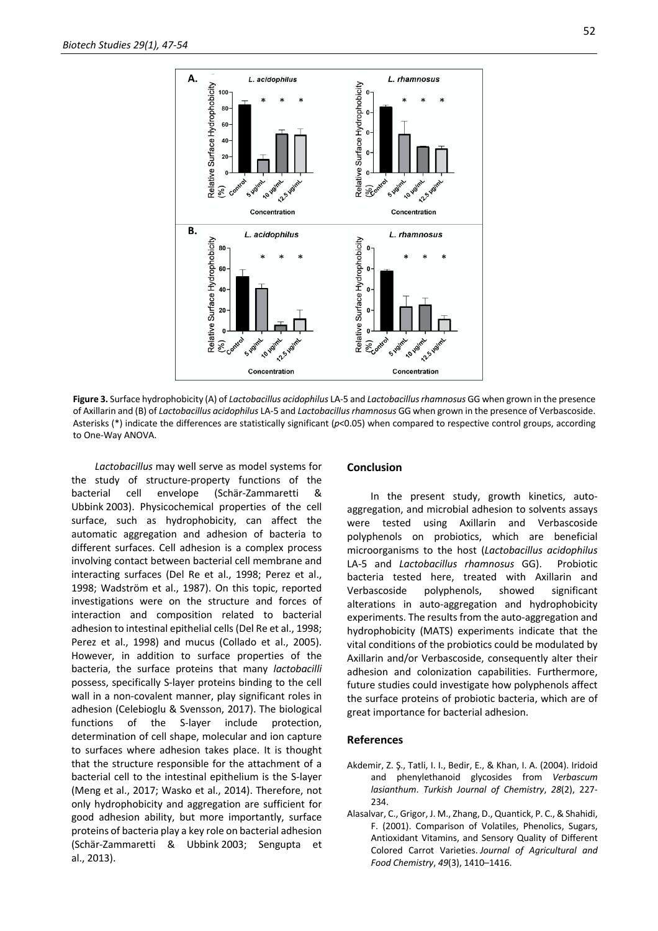

**Figure 3.** Surface hydrophobicity (A) of *Lactobacillus acidophilus* LA-5 and *Lactobacillus rhamnosus* GG when grown in the presence of Axillarin and (B) of *Lactobacillus acidophilus* LA-5 and *Lactobacillus rhamnosus* GG when grown in the presence of Verbascoside. Asterisks (\*) indicate the differences are statistically significant (*p*<0.05) when compared to respective control groups, according to One-Way ANOVA.

*Lactobacillus* may well serve as model systems for the study of structure-property functions of the bacterial cell envelope (Schär-Zammaretti & Ubbink 2003). Physicochemical properties of the cell surface, such as hydrophobicity, can affect the automatic aggregation and adhesion of bacteria to different surfaces. Cell adhesion is a complex process involving contact between bacterial cell membrane and interacting surfaces (Del Re et al., 1998; Perez et al., 1998; Wadström et al., 1987). On this topic, reported investigations were on the structure and forces of interaction and composition related to bacterial adhesion to intestinal epithelial cells (Del Re et al., 1998; Perez et al., 1998) and mucus (Collado et al., 2005). However, in addition to surface properties of the bacteria, the surface proteins that many *lactobacilli* possess, specifically S-layer proteins binding to the cell wall in a non-covalent manner, play significant roles in adhesion (Celebioglu & Svensson, 2017). The biological functions of the S-layer include protection, determination of cell shape, molecular and ion capture to surfaces where adhesion takes place. It is thought that the structure responsible for the attachment of a bacterial cell to the intestinal epithelium is the S-layer (Meng et al., 2017; Wasko et al., 2014). Therefore, not only hydrophobicity and aggregation are sufficient for good adhesion ability, but more importantly, surface proteins of bacteria play a key role on bacterial adhesion (Schär-Zammaretti & Ubbink 2003; Sengupta et al., 2013).

## **Conclusion**

In the present study, growth kinetics, autoaggregation, and microbial adhesion to solvents assays were tested using Axillarin and Verbascoside polyphenols on probiotics, which are beneficial microorganisms to the host (*Lactobacillus acidophilus* LA-5 and *Lactobacillus rhamnosus* GG). Probiotic bacteria tested here, treated with Axillarin and Verbascoside polyphenols, showed significant alterations in auto-aggregation and hydrophobicity experiments. The results from the auto-aggregation and hydrophobicity (MATS) experiments indicate that the vital conditions of the probiotics could be modulated by Axillarin and/or Verbascoside, consequently alter their adhesion and colonization capabilities. Furthermore, future studies could investigate how polyphenols affect the surface proteins of probiotic bacteria, which are of great importance for bacterial adhesion.

## **References**

- Akdemir, Z. Ş., Tatli, I. I., Bedir, E., & Khan, I. A. (2004). Iridoid and phenylethanoid glycosides from *Verbascum lasianthum*. *Turkish Journal of Chemistry*, *28*(2), 227- 234.
- Alasalvar, C., Grigor, J. M., Zhang, D., Quantick, P. C., & Shahidi, F. (2001). Comparison of Volatiles, Phenolics, Sugars, Antioxidant Vitamins, and Sensory Quality of Different Colored Carrot Varieties. *Journal of Agricultural and Food Chemistry*, *49*(3), 1410–1416.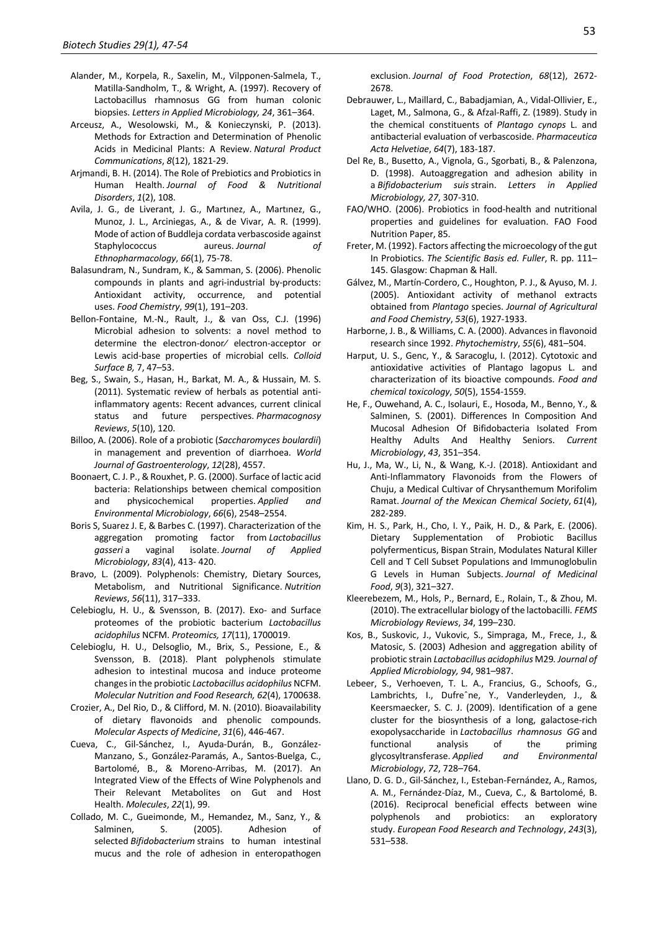- Alander, M., Korpela, R., Saxelin, M., Vilpponen-Salmela, T., Matilla-Sandholm, T., & Wright, A. (1997). Recovery of Lactobacillus rhamnosus GG from human colonic biopsies. *Letters in Applied Microbiology, 24*, 361–364.
- Arceusz, A., Wesolowski, M., & Konieczynski, P. (2013). Methods for Extraction and Determination of Phenolic Acids in Medicinal Plants: A Review. *Natural Product Communications*, *8*(12), 1821-29.
- Arjmandi, B. H. (2014). The Role of Prebiotics and Probiotics in Human Health. *Journal of Food & Nutritional Disorders*, *1*(2), 108.
- Avila, J. G., de Liverant, J. G., Martınez, A., Martınez, G., Munoz, J. L., Arciniegas, A., & de Vivar, A. R. (1999). Mode of action of Buddleja cordata verbascoside against Staphylococcus aureus. *Journal of Ethnopharmacology*, *66*(1), 75-78.
- Balasundram, N., Sundram, K., & Samman, S. (2006). Phenolic compounds in plants and agri-industrial by-products: Antioxidant activity, occurrence, and potential uses. *Food Chemistry*, *99*(1), 191–203.
- Bellon-Fontaine, M.-N., Rault, J., & van Oss, C.J. (1996) Microbial adhesion to solvents: a novel method to determine the electron-donor⁄ electron-acceptor or Lewis acid-base properties of microbial cells. *Colloid Surface B,* 7, 47–53.
- Beg, S., Swain, S., Hasan, H., Barkat, M. A., & Hussain, M. S. (2011). Systematic review of herbals as potential antiinflammatory agents: Recent advances, current clinical status and future perspectives. *Pharmacognosy Reviews*, *5*(10), 120.
- Billoo, A. (2006). Role of a probiotic (*Saccharomyces boulardii*) in management and prevention of diarrhoea. *World Journal of Gastroenterology*, *12*(28), 4557.
- Boonaert, C. J. P., & Rouxhet, P. G. (2000). Surface of lactic acid bacteria: Relationships between chemical composition and physicochemical properties. *Applied and Environmental Microbiology*, *66*(6), 2548–2554.
- Boris S, Suarez J. E, & Barbes C. (1997). Characterization of the aggregation promoting factor from *Lactobacillus gasseri* a vaginal isolate. *Journal of Applied Microbiology*, *83*(4), 413- 420.
- Bravo, L. (2009). Polyphenols: Chemistry, Dietary Sources, Metabolism, and Nutritional Significance. *Nutrition Reviews*, *56*(11), 317–333.
- Celebioglu, H. U., & Svensson, B. (2017). Exo- and Surface proteomes of the probiotic bacterium *Lactobacillus acidophilus* NCFM. *Proteomics, 17*(11), 1700019.
- Celebioglu, H. U., Delsoglio, M., Brix, S., Pessione, E., & Svensson, B. (2018). Plant polyphenols stimulate adhesion to intestinal mucosa and induce proteome changes in the probiotic *Lactobacillus acidophilus* NCFM. *Molecular Nutrition and Food Research, 62*(4), 1700638.
- Crozier, A., Del Rio, D., & Clifford, M. N. (2010). Bioavailability of dietary flavonoids and phenolic compounds. *Molecular Aspects of Medicine*, *31*(6), 446-467.
- Cueva, C., Gil-Sánchez, I., Ayuda-Durán, B., González-Manzano, S., González-Paramás, A., Santos-Buelga, C., Bartolomé, B., & Moreno-Arribas, M. (2017). An Integrated View of the Effects of Wine Polyphenols and Their Relevant Metabolites on Gut and Host Health. *Molecules*, *22*(1), 99.
- Collado, M. C., Gueimonde, M., Hemandez, M., Sanz, Y., & Salminen, S. (2005). Adhesion of selected *Bifidobacterium* strains to human intestinal mucus and the role of adhesion in enteropathogen

exclusion. *Journal of Food Protection*, *68*(12), 2672- 2678.

- Debrauwer, L., Maillard, C., Babadjamian, A., Vidal-Ollivier, E., Laget, M., Salmona, G., & Afzal-Raffi, Z. (1989). Study in the chemical constituents of *Plantago cynops* L. and antibacterial evaluation of verbascoside. *Pharmaceutica Acta Helvetiae*, *64*(7), 183-187.
- Del Re, B., Busetto, A., Vignola, G., Sgorbati, B., & Palenzona, D. (1998). Autoaggregation and adhesion ability in a *Bifidobacterium suis* strain. *Letters in Applied Microbiology, 27*, 307-310.
- FAO/WHO. (2006). Probiotics in food-health and nutritional properties and guidelines for evaluation. FAO Food Nutrition Paper, 85.
- Freter, M. (1992). Factors affecting the microecology of the gut In Probiotics. *The Scientific Basis ed. Fuller*, R. pp. 111– 145. Glasgow: Chapman & Hall.
- Gálvez, M., Martín-Cordero, C., Houghton, P. J., & Ayuso, M. J. (2005). Antioxidant activity of methanol extracts obtained from *Plantago* species. *Journal of Agricultural and Food Chemistry*, *53*(6), 1927-1933.
- Harborne, J. B., & Williams, C. A. (2000). Advances in flavonoid research since 1992. *Phytochemistry*, *55*(6), 481–504.
- Harput, U. S., Genc, Y., & Saracoglu, I. (2012). Cytotoxic and antioxidative activities of Plantago lagopus L. and characterization of its bioactive compounds. *Food and chemical toxicology*, *50*(5), 1554-1559.
- He, F., Ouwehand, A. C., Isolauri, E., Hosoda, M., Benno, Y., & Salminen, S. (2001). Differences In Composition And Mucosal Adhesion Of Bifidobacteria Isolated From Healthy Adults And Healthy Seniors. *Current Microbiology*, *43*, 351–354.
- Hu, J., Ma, W., Li, N., & Wang, K.-J. (2018). Antioxidant and Anti-Inflammatory Flavonoids from the Flowers of Chuju, a Medical Cultivar of Chrysanthemum Morifolim Ramat. *Journal of the Mexican Chemical Society*, *61*(4), 282-289.
- Kim, H. S., Park, H., Cho, I. Y., Paik, H. D., & Park, E. (2006). Dietary Supplementation of Probiotic Bacillus polyfermenticus, Bispan Strain, Modulates Natural Killer Cell and T Cell Subset Populations and Immunoglobulin G Levels in Human Subjects. *Journal of Medicinal Food*, *9*(3), 321–327.
- Kleerebezem, M., Hols, P., Bernard, E., Rolain, T., & Zhou, M. (2010). The extracellular biology of the lactobacilli. *FEMS Microbiology Reviews*, *34*, 199–230.
- Kos, B., Suskovic, J., Vukovic, S., Simpraga, M., Frece, J., & Matosic, S. (2003) Adhesion and aggregation ability of probiotic strain *Lactobacillus acidophilus* M29*. Journal of Applied Microbiology, 94*, 981–987.
- Lebeer, S., Verhoeven, T. L. A., Francius, G., Schoofs, G., Lambrichts, I., Dufreˆne, Y., Vanderleyden, J., & Keersmaecker, S. C. J. (2009). Identification of a gene cluster for the biosynthesis of a long, galactose-rich exopolysaccharide in *Lactobacillus rhamnosus GG* and functional analysis of the priming glycosyltransferase. *Applied and Environmental Microbiology*, *72*, 728–764.
- Llano, D. G. D., Gil-Sánchez, I., Esteban-Fernández, A., Ramos, A. M., Fernández-Díaz, M., Cueva, C., & Bartolomé, B. (2016). Reciprocal beneficial effects between wine polyphenols and probiotics: an exploratory study. *European Food Research and Technology*, *243*(3), 531–538.